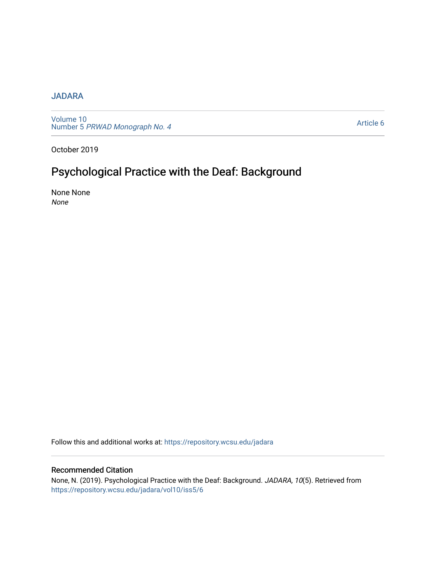## [JADARA](https://repository.wcsu.edu/jadara)

[Volume 10](https://repository.wcsu.edu/jadara/vol10)  Number 5 [PRWAD Monograph No. 4](https://repository.wcsu.edu/jadara/vol10/iss5) 

[Article 6](https://repository.wcsu.edu/jadara/vol10/iss5/6) 

October 2019

# Psychological Practice with the Deaf: Background

None None None

Follow this and additional works at: [https://repository.wcsu.edu/jadara](https://repository.wcsu.edu/jadara?utm_source=repository.wcsu.edu%2Fjadara%2Fvol10%2Fiss5%2F6&utm_medium=PDF&utm_campaign=PDFCoverPages)

### Recommended Citation

None, N. (2019). Psychological Practice with the Deaf: Background. JADARA, 10(5). Retrieved from [https://repository.wcsu.edu/jadara/vol10/iss5/6](https://repository.wcsu.edu/jadara/vol10/iss5/6?utm_source=repository.wcsu.edu%2Fjadara%2Fvol10%2Fiss5%2F6&utm_medium=PDF&utm_campaign=PDFCoverPages)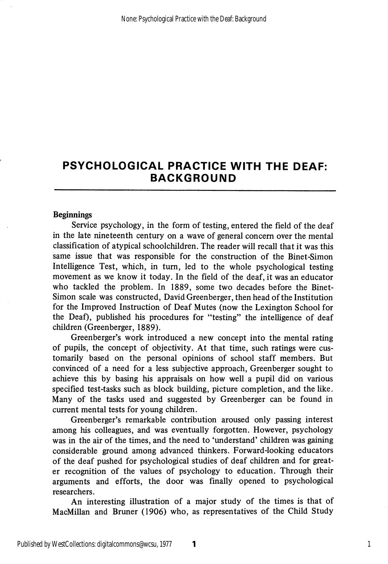#### Beginnings

Service psychology, in the form of testing, entered the field of the deaf in the late nineteenth century on a wave of general concern over the mental classification of atypical schoolchildren. The reader will recall that it was this same issue that was responsible for the construction of the Binet-Simon Intelligence Test, which, in turn, led to the whole psychological testing movement as we know it today. In the field of the deaf, it was an educator who tackled the problem. In 1889, some two decades before the Binet-Simon scale was constructed, David Greenberger, then head of the Institution for the Improved Instruction of Deaf Mutes (now the Lexington School for the Deaf), published his procedures for "testing" the intelligence of deaf children (Greenberger, 1889).

Greenberger's work introduced a new concept into the mental rating of pupils, the concept of objectivity. At that time, such ratings were cus tomarily based on the personal opinions of school staff members. But convinced of a need for a less subjective approach, Greenberger sought to achieve this by basing his appraisals on how well a pupil did on various specified test-tasks such as block building, picture completion, and the like. Many of the tasks used and suggested by Greenberger can be found in current mental tests for young children.

Greenberger's remarkable contribution aroused only passing interest among his colleagues, and was eventually forgotten. However, psychology was in the air of the times, and the need to 'understand' children was gaining considerable ground among advanced thinkers. Forward-looking educators of the deaf pushed for psychological studies of deaf children and for great er recognition of the values of psychology to education. Through their arguments and efforts, the door was finally opened to psychological researchers.

An interesting illustration of a major study of the times is that of MacMillan and Bruner (1906) who, as representatives of the Child Study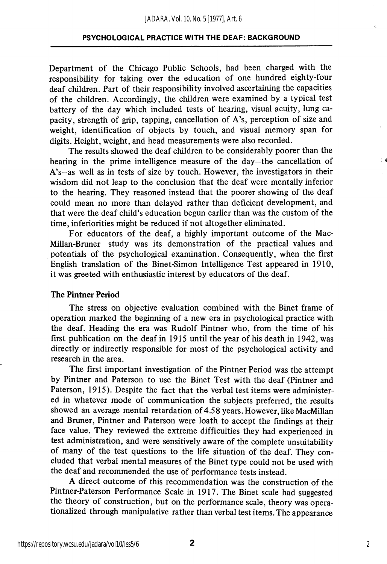Department of the Chicago Public Schools, had been charged with the responsibility for taking over the education of one hundred eighty-four deaf children. Part of their responsibility involved ascertaining the capacities of the children. Accordingly, the children were examined by a typical test battery of the day which included tests of hearing, visual acuity, lung ca pacity, strength of grip, tapping, cancellation of A's, perception of size and weight, identification of objects by touch, and visual memory span for digits. Height, weight, and head measurements were also recorded.

The results showed the deaf children to be considerably poorer than the hearing in the prime intelligence measure of the day—the cancellation of A's—as well as in tests of size by touch. However, the investigators in their wisdom did not leap to the conclusion that the deaf were mentally inferior to the hearing. They reasoned instead that the poorer showing of the deaf could mean no more than delayed rather than deficient development, and that were the deaf child's education begun earlier than was the custom of the time, inferiorities might be reduced if not altogether eliminated.

For educators of the deaf, a highly important outcome of the Mac-Millan-Bruner study was its demonstration of the practical values and potentials of the psychological examination. Consequently, when the first English translation of the Binet-Simon Intelligence Test appeared in 1910, it was greeted with enthusiastic interest by educators of the deaf.

#### The Pintner Period

The stress on objective evaluation combined with the Binet frame of operation marked the beginning of a new era in psychological practice with the deaf. Heading the era was Rudolf Pintner who, from the time of his first publication on the deaf in 1915 until the year of his death in 1942, was directly or indirectly responsible for most of the psychological activity and research in the area.

The first important investigation of the Pintner Period was the attempt by Pintner and Paterson to use the Binet Test with the deaf (Pintner and Paterson, 1915). Despite the fact that the verbal test items were administer ed in whatever mode of communication the subjects preferred, the results showed an average mental retardation of 4.58 years. However, like MacMillan and Bruner, Pintner and Paterson were loath to accept the findings at their face value. They reviewed the extreme difficulties they had experienced in test administration, and were sensitively aware of the complete unsuitability of many of the test questions to the life situation of the deaf. They con cluded that verbal mental measures of the Binet type could not be used with the deaf and recommended the use of performance tests instead.

A direct outcome of this recommendation was the construction of the Pintner-Paterson Performance Scale in 1917. The Binet scale had suggested the theory of construction, but on the performance scale, theory was operationalized through manipulative rather than verbal test items. The appearance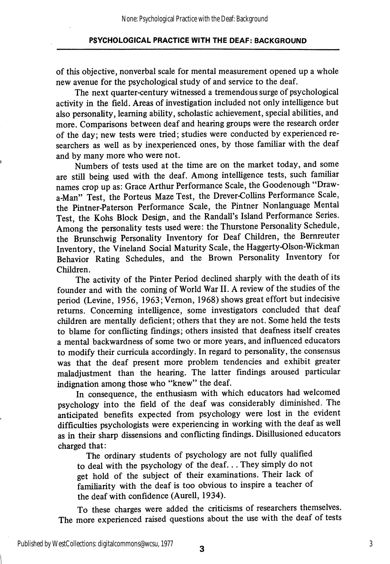of this objective, nonverbal scale for mental measurement opened up a whole new avenue for the psychological study of and service to the deaf.

The next quarter-century witnessed a tremendous surge of psychological activity in the field. Areas of investigation included not only intelligence but also personality, learning ability, scholastic achievement, special abilities, and more. Comparisons between deaf and hearing groups were the research order of the day; new tests were tried; studies were conducted by experienced re searchers as well as by inexperienced ones, by those familiar with the deaf and by many more who were not.

Numbers of tests used at the time are on the market today, and some are still being used with the deaf. Among intelligence tests, such familiar names crop up as: Grace Arthur Performance Scale, the Goodenough "Drawa-Man" Test, the Porteus Maze Test, the Drever-Collins Performance Scale, the Pintner-Paterson Performance Scale, the Pintner Nonlanguage Mental Test, the Kohs Block Design, and the Randall's Island Performance Series. Among the personality tests used were: the Thurstone Personality Schedule, the Brunschwig Personality Inventory for Deaf Children, the Bemreuter Inventory, the Vineland Social Maturity Scale, the Haggerty-Olson-Wickman Behavior Rating Schedules, and the Brown Personality Inventory for Children.

The activity of the Pinter Period declined sharply with the death of its founder and with the coming of World War II. A review of the studies of the period (Levine, 1956, 1963; Vernon, 1968) shows great effort but indecisive returns. Concerning intelligence, some investigators concluded that deaf children are mentally deficient; others that they are not. Some held the tests to blame for conflicting findings; others insisted that deafness itself creates a mental backwardness of some two or more years, and influenced educators to modify their curricula accordingly. In regard to personality, the consensus was that the deaf present more problem tendencies and exhibit greater maladjustment than the hearing. The latter findings aroused particular indignation among those who "knew" the deaf.

In consequence, the enthusiasm with which educators had welcomed psychology into the field of the deaf was considerably diminished. The anticipated benefits expected from psychology were lost in the evident difficulties psychologists were experiencing in working with the deaf as well as in their sharp dissensions and conflicting findings. Disillusioned educators charged that:

The ordinary students of psychology are not fully qualified to deal with the psychology of the deaf... They simply do not get hold of the subject of their examinations. Their lack of familiarity with the deaf is too obvious to inspire a teacher of the deaf with confidence (Aurell, 1934).

To these charges were added the criticisms of researchers themselves. The more experienced raised questions about the use with the deaf of tests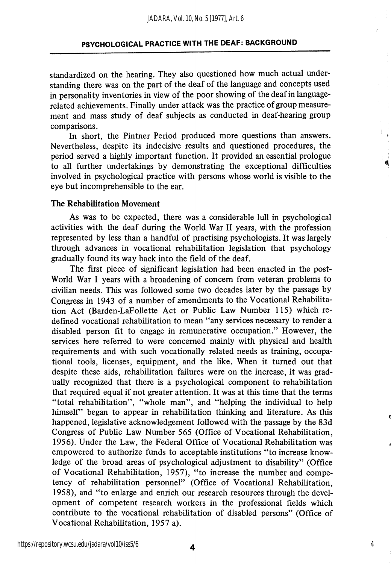standardized on the hearing. They also questioned how much actual understanding there was on the part of the deaf of the language and concepts used in personality inventories in view of the poor showing of the deaf in languagerelated achievements. Finally under attack was the practice of group measure ment and mass study of deaf subjects as conducted in deaf-hearing group comparisons.

In short, the Pintner Period produced more questions than answers. Nevertheless, despite its indecisive results and questioned procedures, the period served a highly important function. It provided an essential prologue to all further undertakings by demonstrating the exceptional difficulties involved in psychological practice with persons whose world is visible to the eye but incomprehensible to the ear.

#### The Rehabilitation Movement

As was to be expected, there was a considerable lull in psychological activities with the deaf during the World War II years, with the profession represented by less than a handful of practising psychologists. It was largely through advances in vocational rehabilitation legislation that psychology gradually found its way back into the field of the deaf.

The first piece of significant legislation had been enacted in the post-World War I years with a broadening of concern from veteran problems to civilian needs. This was followed some two decades later by the passage by Congress in 1943 of a number of amendments to the Vocational Rehabilita tion Act (Barden-LaFollette Act or Public Law Number 115) which re defined vocational rehabilitation to mean "any services necessary to render a disabled person fit to engage in remunerative occupation." However, the services here referred to were concerned mainly with physical and health requirements and with such vocationally related needs as training, occupa tional tools, licenses, equipment, and the like. When it turned out that despite these aids, rehabilitation failures were on the increase, it was grad ually recognized that there is a psychological component to rehabilitation that required equal if not greater attention. It was at this time that the terms "total rehabilitation", "whole man", and "helping the individual to help himself" began to appear in rehabilitation thinking and literature. As this happened, legislative acknowledgement followed with the passage by the 83d Congress of Public Law Number 565 (Office of Vocational Rehabilitation, 1956). Under the Law, the Federal Office of Vocational Rehabilitation was empowered to authorize funds to acceptable institutions "to increase know ledge of the broad areas of psychological adjustment to disability" (Office of Vocational Rehabilitation, 1957), "to increase the number and compe tency of rehabilitation personnel" (Office of Vocational Rehabilitation, 1958), and "to enlarge and enrich our research resources through the devel opment of competent research workers in the professional fields which contribute to the vocational rehabilitation of disabled persons" (Office of Vocational Rehabilitation, 1957 a).

4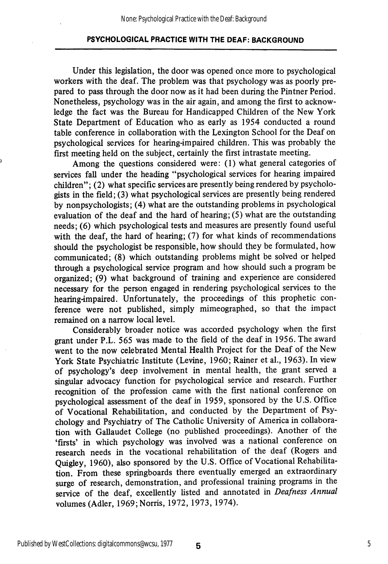Under this legislation, the door was opened once more to psychological workers with the deaf. The problem was that psychology was as poorly pre pared to pass through the door now as it had been during the Pintner Period. Nonetheless, psychology was in the air again, and among the first to acknow ledge the fact was the Bureau for Handicapped Children of the New York State Department of Education who as early as 1954 conducted a round table conference in collaboration with the Lexington School for the Deaf on psychological services for hearing-impaired children. This was probably the first meeting held on the subject, certainly the first intrastate meeting.

Among the questions considered were: (1) what general categories of services fall under the heading "psychological services for hearing impaired children"; (2) what specific services are presently being rendered by psycholo gists in the field; (3) what psychological services are presently being rendered by nonpsychologists; (4) what are the outstanding problems in psychological evaluation of the deaf and the hard of hearing; (5) what are the outstanding needs; (6) which psychological tests and measures are presently found useful with the deaf, the hard of hearing; (7) for what kinds of recommendations should the psychologist be responsible, how should they be formulated, how communicated; (8) which outstanding problems might be solved or helped through a psychological service program and how should such a program be organized; (9) what background of training and experience are considered necessary for the person engaged in rendering psychological services to the hearing-impaired. Unfortunately, the proceedings of this prophetic con ference were not published, simply mimeographed, so that the impact remained on a narrow local level.

Considerably broader notice was accorded psychology when the first grant under P.L. 565 was made to the field of the deaf in 1956. The award went to the now celebrated Mental Health Project for the Deaf of the New York State Psychiatric Institute (Levine, 1960; Rainer et al., 1963). In view of psychology's deep involvement in mental health, the grant served a singular advocacy function for psychological service and research. Further recognition of the profession came with the first national conference on psychological assessment of the deaf in 1959, sponsored by the U.S. Office of Vocational Rehabilitation, and conducted by the Department of Psy chology and Psychiatry of The Catholic University of America in collabora tion with Gallaudet College (no published proceedings). Another of the 'firsts' in which psychology was involved was a national conference on research needs in the vocational rehabilitation of the deaf (Rogers and Quigley, 1960), also sponsored by the U.S. Office of Vocational Rehabilita tion. From these springboards there eventually emerged an extraordinary surge of research, demonstration, and professional training programs in the service of the deaf, excellently listed and annotated in Deafness Annual volumes (Adler, 1969;Norris, 1972, 1973, 1974).

5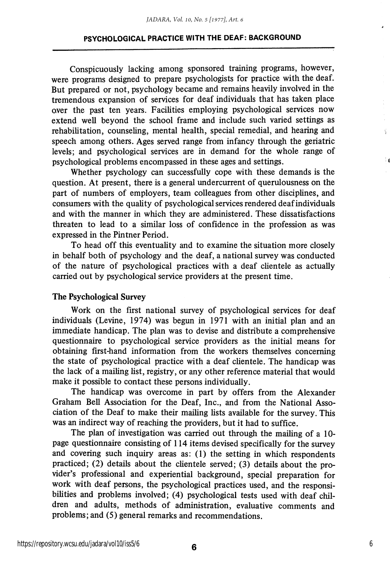Conspicuously lacking among sponsored training programs, however, were programs designed to prepare psychologists for practice with the deaf. But prepared or not, psychology became and remains heavily involved in the tremendous expansion of services for deaf individuals that has taken place over the past ten years. Facilities employing psychological services now extend well beyond the school frame and include such varied settings as rehabilitation, counseling, mental health, special remedial, and hearing and speech among others. Ages served range from infancy through the geriatric levels; and psychological services are in demand for the whole range of psychological problems encompassed in these ages and settings.

Whether psychology can successfully cope with these demands is the question. At present, there is a general undercurrent of querulousness on the part of numbers of employers, team colleagues from other disciplines, and consumers with the quality of psychological services rendered deaf individuals and with the manner in which they are administered. These dissatisfactions threaten to lead to a similar loss of confidence in the profession as was expressed in the Pintner Period.

To head off this eventuality and to examine the situation more closely in behalf both of psychology and the deaf, a national survey was conducted of the nature of psychological practices with a deaf clientele as actually carried out by psychological service providers at the present time.

#### The Psychological Survey

Work on the first national survey of psychological services for deaf individuals (Levine, 1974) was begun in 1971 with an initial plan and an immediate handicap. The plan was to devise and distribute a comprehensive questionnaire to psychological service providers as the initial means for obtaining first-hand information from the workers themselves concerning the state of psychological practice with a deaf clientele. The handicap was the lack of a mailing list, registry, or any other reference material that would make it possible to contact these persons individually.

The handicap was overcome in part by offers from the Alexander Graham Bell Association for the Deaf, Inc., and from the National Asso ciation of the Deaf to make their mailing lists available for the survey. This was an indirect way of reaching the providers, but it had to suffice.

The plan of investigation was carried out through the mailing of a 10 page questionnaire consisting of 114 items devised specifically for the survey and covering such inquiry areas as: (1) the setting in which respondents practiced; (2) details about the clientele served; (3) details about the pro vider's professional and experiential background, special preparation for work with deaf persons, the psychological practices used, and the responsi bilities and problems involved; (4) psychological tests used with deaf chil dren and adults, methods of administration, evaluative comments and problems; and (5) general remarks and recommendations.

Ý